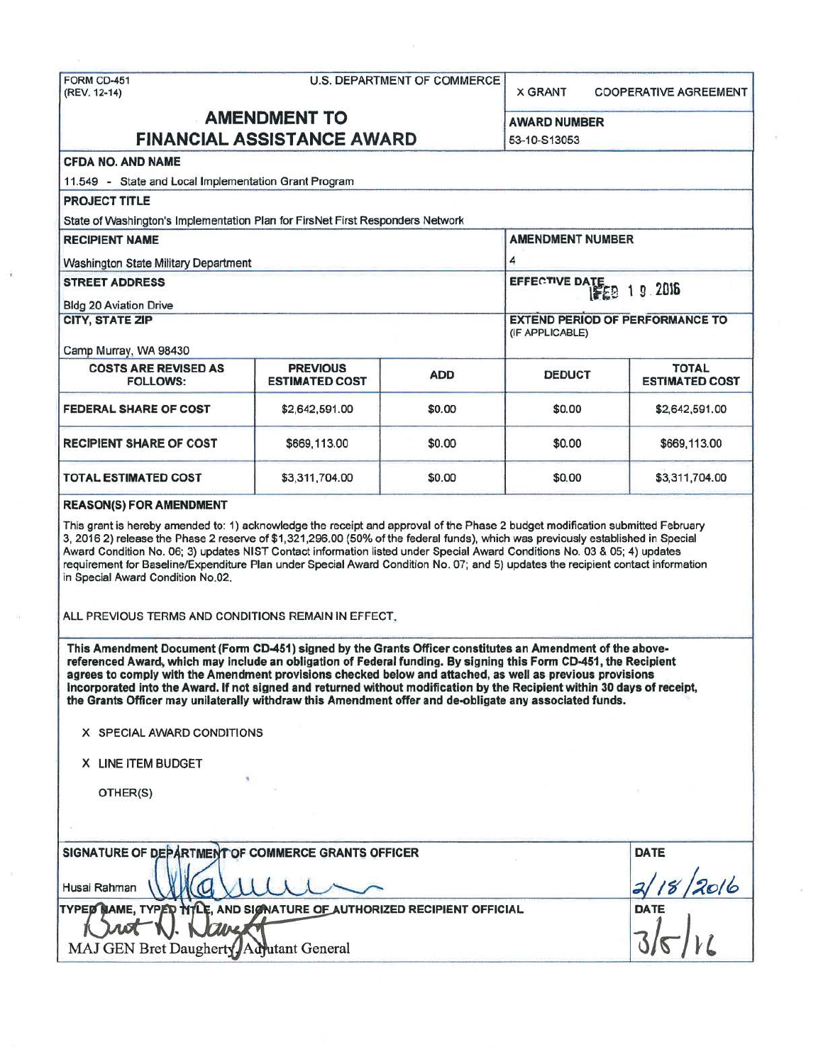| FORM CD-451<br>U.S. DEPARTMENT OF COMMERCE<br>(REV. 12-14)                                                                                                                                                                                                                                                                                                                                                                                                                                                                                                                        |                                          | <b>X GRANT</b> | <b>COOPERATIVE AGREEMENT</b>                              |                                       |  |
|-----------------------------------------------------------------------------------------------------------------------------------------------------------------------------------------------------------------------------------------------------------------------------------------------------------------------------------------------------------------------------------------------------------------------------------------------------------------------------------------------------------------------------------------------------------------------------------|------------------------------------------|----------------|-----------------------------------------------------------|---------------------------------------|--|
| <b>AMENDMENT TO</b><br><b>FINANCIAL ASSISTANCE AWARD</b>                                                                                                                                                                                                                                                                                                                                                                                                                                                                                                                          |                                          |                | <b>AWARD NUMBER</b><br>53-10-S13053                       |                                       |  |
|                                                                                                                                                                                                                                                                                                                                                                                                                                                                                                                                                                                   |                                          |                |                                                           |                                       |  |
| 11.549 - State and Local Implementation Grant Program                                                                                                                                                                                                                                                                                                                                                                                                                                                                                                                             |                                          |                |                                                           |                                       |  |
| <b>PROJECT TITLE</b>                                                                                                                                                                                                                                                                                                                                                                                                                                                                                                                                                              |                                          |                |                                                           |                                       |  |
| State of Washington's Implementation Plan for FirsNet First Responders Network                                                                                                                                                                                                                                                                                                                                                                                                                                                                                                    |                                          |                |                                                           |                                       |  |
| <b>RECIPIENT NAME</b>                                                                                                                                                                                                                                                                                                                                                                                                                                                                                                                                                             |                                          |                | <b>AMENDMENT NUMBER</b>                                   |                                       |  |
| Washington State Military Department                                                                                                                                                                                                                                                                                                                                                                                                                                                                                                                                              |                                          |                | 4                                                         |                                       |  |
| <b>STREET ADDRESS</b>                                                                                                                                                                                                                                                                                                                                                                                                                                                                                                                                                             |                                          |                |                                                           | EFFECTIVE DATE 19.2016                |  |
| <b>Bldg 20 Aviation Drive</b>                                                                                                                                                                                                                                                                                                                                                                                                                                                                                                                                                     |                                          |                |                                                           |                                       |  |
| <b>CITY, STATE ZIP</b>                                                                                                                                                                                                                                                                                                                                                                                                                                                                                                                                                            |                                          |                | <b>EXTEND PERIOD OF PERFORMANCE TO</b><br>(IF APPLICABLE) |                                       |  |
| Camp Murray, WA 98430                                                                                                                                                                                                                                                                                                                                                                                                                                                                                                                                                             |                                          |                |                                                           |                                       |  |
| <b>COSTS ARE REVISED AS</b><br><b>FOLLOWS:</b>                                                                                                                                                                                                                                                                                                                                                                                                                                                                                                                                    | <b>PREVIOUS</b><br><b>ESTIMATED COST</b> | <b>ADD</b>     | <b>DEDUCT</b>                                             | <b>TOTAL</b><br><b>ESTIMATED COST</b> |  |
| <b>FEDERAL SHARE OF COST</b>                                                                                                                                                                                                                                                                                                                                                                                                                                                                                                                                                      | \$2,642,591.00                           | \$0.00         | \$0.00                                                    | \$2,642,591.00                        |  |
| <b>RECIPIENT SHARE OF COST</b>                                                                                                                                                                                                                                                                                                                                                                                                                                                                                                                                                    | \$669,113.00                             | \$0.00         | \$0.00                                                    | \$669,113.00                          |  |
| <b>TOTAL ESTIMATED COST</b>                                                                                                                                                                                                                                                                                                                                                                                                                                                                                                                                                       | \$3,311,704.00                           | \$0.00         | \$0.00                                                    | \$3,311,704.00                        |  |
| <b>REASON(S) FOR AMENDMENT</b>                                                                                                                                                                                                                                                                                                                                                                                                                                                                                                                                                    |                                          |                |                                                           |                                       |  |
| This grant is hereby amended to: 1) acknowledge the receipt and approval of the Phase 2 budget modification submitted February<br>3, 2016 2) release the Phase 2 reserve of \$1,321,296.00 (50% of the federal funds), which was previously established in Special<br>Award Condition No. 06; 3) updates NIST Contact information listed under Special Award Conditions No. 03 & 05; 4) updates<br>requirement for Baseline/Expenditure Plan under Special Award Condition No. 07; and 5) updates the recipient contact information<br>in Special Award Condition No.02.          |                                          |                |                                                           |                                       |  |
| ALL PREVIOUS TERMS AND CONDITIONS REMAIN IN EFFECT.                                                                                                                                                                                                                                                                                                                                                                                                                                                                                                                               |                                          |                |                                                           |                                       |  |
| This Amendment Document (Form CD-451) signed by the Grants Officer constitutes an Amendment of the above-<br>referenced Award, which may include an obligation of Federal funding. By signing this Form CD-451, the Recipient<br>agrees to comply with the Amendment provisions checked below and attached, as well as previous provisions<br>incorporated into the Award. If not signed and returned without modification by the Recipient within 30 days of receipt,<br>the Grants Officer may unilaterally withdraw this Amendment offer and de-obligate any associated funds. |                                          |                |                                                           |                                       |  |
| X SPECIAL AWARD CONDITIONS                                                                                                                                                                                                                                                                                                                                                                                                                                                                                                                                                        |                                          |                |                                                           |                                       |  |
| X LINE ITEM BUDGET                                                                                                                                                                                                                                                                                                                                                                                                                                                                                                                                                                |                                          |                |                                                           |                                       |  |
| OTHER(S)                                                                                                                                                                                                                                                                                                                                                                                                                                                                                                                                                                          |                                          |                |                                                           |                                       |  |
|                                                                                                                                                                                                                                                                                                                                                                                                                                                                                                                                                                                   |                                          |                |                                                           |                                       |  |
| SIGNATURE OF DEPARTMENT OF COMMERCE GRANTS OFFICER<br>Husai Rahman                                                                                                                                                                                                                                                                                                                                                                                                                                                                                                                |                                          | <b>DATE</b>    |                                                           |                                       |  |
| TYPED MAME, TYPED TITLE, AND SIGNATURE OF AUTHORIZED RECIPIENT OFFICIAL<br>MAJ GEN Bret Daugherty Adjutant General                                                                                                                                                                                                                                                                                                                                                                                                                                                                |                                          |                |                                                           | <b>DATE</b>                           |  |